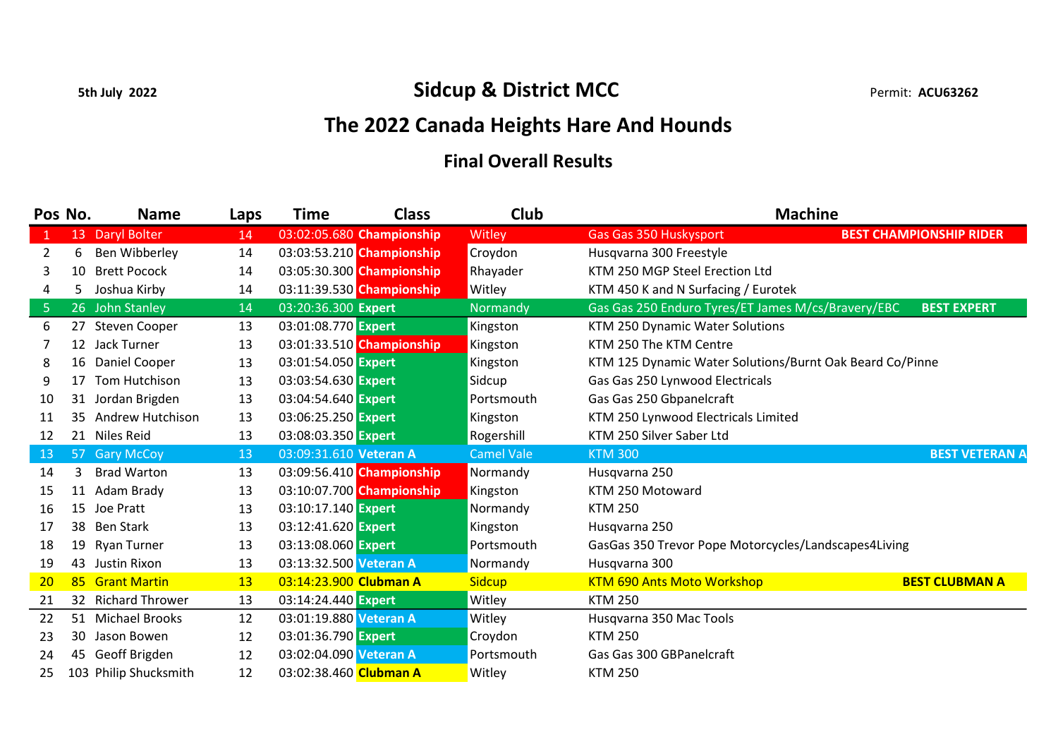## 5th July 2022 **Sidcup & District MCC** Permit: ACU63262

## The 2022 Canada Heights Hare And Hounds

## Final Overall Results

| Pos No.        |    | <b>Name</b>           | Laps | <b>Time</b>            | <b>Class</b>              | Club              | <b>Machine</b>                                           |                                |
|----------------|----|-----------------------|------|------------------------|---------------------------|-------------------|----------------------------------------------------------|--------------------------------|
| 1              | 13 | Daryl Bolter          | 14   |                        | 03:02:05.680 Championship | Witley            | <b>Gas Gas 350 Huskysport</b>                            | <b>BEST CHAMPIONSHIP RIDER</b> |
| 2              | 6  | Ben Wibberley         | 14   |                        | 03:03:53.210 Championship | Croydon           | Husqvarna 300 Freestyle                                  |                                |
| 3              | 10 | <b>Brett Pocock</b>   | 14   |                        | 03:05:30.300 Championship | Rhayader          | KTM 250 MGP Steel Erection Ltd                           |                                |
| 4              | 5. | Joshua Kirby          | 14   |                        | 03:11:39.530 Championship | Witley            | KTM 450 K and N Surfacing / Eurotek                      |                                |
| $5\phantom{.}$ |    | 26 John Stanley       | 14   | 03:20:36.300 Expert    |                           | Normandy          | Gas Gas 250 Enduro Tyres/ET James M/cs/Bravery/EBC       | <b>BEST EXPERT</b>             |
| 6              |    | 27 Steven Cooper      | 13   | 03:01:08.770 Expert    |                           | Kingston          | KTM 250 Dynamic Water Solutions                          |                                |
|                |    | 12 Jack Turner        | 13   |                        | 03:01:33.510 Championship | Kingston          | KTM 250 The KTM Centre                                   |                                |
| 8              |    | 16 Daniel Cooper      | 13   | 03:01:54.050 Expert    |                           | Kingston          | KTM 125 Dynamic Water Solutions/Burnt Oak Beard Co/Pinne |                                |
| 9              | 17 | Tom Hutchison         | 13   | 03:03:54.630 Expert    |                           | Sidcup            | Gas Gas 250 Lynwood Electricals                          |                                |
| 10             | 31 | Jordan Brigden        | 13   | 03:04:54.640 Expert    |                           | Portsmouth        | Gas Gas 250 Gbpanelcraft                                 |                                |
| 11             | 35 | Andrew Hutchison      | 13   | 03:06:25.250 Expert    |                           | Kingston          | KTM 250 Lynwood Electricals Limited                      |                                |
| 12             |    | 21 Niles Reid         | 13   | 03:08:03.350 Expert    |                           | Rogershill        | KTM 250 Silver Saber Ltd                                 |                                |
| 13             | 57 | <b>Gary McCoy</b>     | 13   | 03:09:31.610 Veteran A |                           | <b>Camel Vale</b> | <b>KTM 300</b>                                           | <b>BEST VETERAN A</b>          |
| 14             | 3  | <b>Brad Warton</b>    | 13   |                        | 03:09:56.410 Championship | Normandy          | Husqvarna 250                                            |                                |
| 15             |    | 11 Adam Brady         | 13   |                        | 03:10:07.700 Championship | Kingston          | KTM 250 Motoward                                         |                                |
| 16             | 15 | Joe Pratt             | 13   | 03:10:17.140 Expert    |                           | Normandy          | <b>KTM 250</b>                                           |                                |
| 17             | 38 | <b>Ben Stark</b>      | 13   | 03:12:41.620 Expert    |                           | Kingston          | Husqvarna 250                                            |                                |
| 18             | 19 | <b>Ryan Turner</b>    | 13   | 03:13:08.060 Expert    |                           | Portsmouth        | GasGas 350 Trevor Pope Motorcycles/Landscapes4Living     |                                |
| 19             |    | 43 Justin Rixon       | 13   | 03:13:32.500 Veteran A |                           | Normandy          | Husqvarna 300                                            |                                |
| 20             |    | 85 Grant Martin       | 13   | 03:14:23.900 Clubman A |                           | <b>Sidcup</b>     | <b>KTM 690 Ants Moto Workshop</b>                        | <b>BEST CLUBMAN A</b>          |
| 21             |    | 32 Richard Thrower    | 13   | 03:14:24.440 Expert    |                           | Witley            | <b>KTM 250</b>                                           |                                |
| 22             |    | 51 Michael Brooks     | 12   | 03:01:19.880 Veteran A |                           | Witley            | Husqvarna 350 Mac Tools                                  |                                |
| 23             | 30 | Jason Bowen           | 12   | 03:01:36.790 Expert    |                           | Croydon           | <b>KTM 250</b>                                           |                                |
| 24             | 45 | Geoff Brigden         | 12   | 03:02:04.090 Veteran A |                           | Portsmouth        | Gas Gas 300 GBPanelcraft                                 |                                |
| 25             |    | 103 Philip Shucksmith | 12   | 03:02:38.460 Clubman A |                           | Witley            | <b>KTM 250</b>                                           |                                |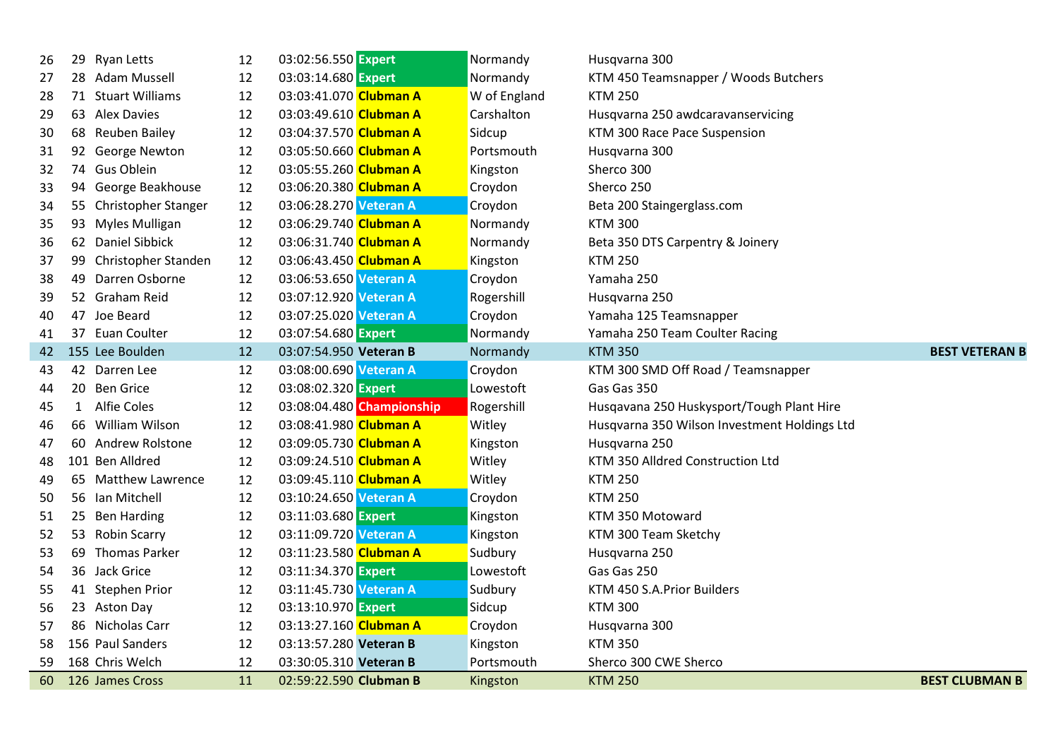| 26 |              | 29 Ryan Letts          | 12 | 03:02:56.550 Expert    |                           | Normandy     | Husqvarna 300                                |                       |
|----|--------------|------------------------|----|------------------------|---------------------------|--------------|----------------------------------------------|-----------------------|
| 27 |              | 28 Adam Mussell        | 12 | 03:03:14.680 Expert    |                           | Normandy     | KTM 450 Teamsnapper / Woods Butchers         |                       |
| 28 |              | 71 Stuart Williams     | 12 | 03:03:41.070 Clubman A |                           | W of England | <b>KTM 250</b>                               |                       |
| 29 |              | 63 Alex Davies         | 12 | 03:03:49.610 Clubman A |                           | Carshalton   | Husqvarna 250 awdcaravanservicing            |                       |
| 30 |              | 68 Reuben Bailey       | 12 | 03:04:37.570 Clubman A |                           | Sidcup       | KTM 300 Race Pace Suspension                 |                       |
| 31 |              | 92 George Newton       | 12 | 03:05:50.660 Clubman A |                           | Portsmouth   | Husqvarna 300                                |                       |
| 32 |              | 74 Gus Oblein          | 12 | 03:05:55.260 Clubman A |                           | Kingston     | Sherco 300                                   |                       |
| 33 |              | 94 George Beakhouse    | 12 | 03:06:20.380 Clubman A |                           | Croydon      | Sherco 250                                   |                       |
| 34 |              | 55 Christopher Stanger | 12 | 03:06:28.270 Veteran A |                           | Croydon      | Beta 200 Staingerglass.com                   |                       |
| 35 |              | 93 Myles Mulligan      | 12 | 03:06:29.740 Clubman A |                           | Normandy     | <b>KTM 300</b>                               |                       |
| 36 |              | 62 Daniel Sibbick      | 12 | 03:06:31.740 Clubman A |                           | Normandy     | Beta 350 DTS Carpentry & Joinery             |                       |
| 37 |              | 99 Christopher Standen | 12 | 03:06:43.450 Clubman A |                           | Kingston     | <b>KTM 250</b>                               |                       |
| 38 |              | 49 Darren Osborne      | 12 | 03:06:53.650 Veteran A |                           | Croydon      | Yamaha 250                                   |                       |
| 39 |              | 52 Graham Reid         | 12 | 03:07:12.920 Veteran A |                           | Rogershill   | Husqvarna 250                                |                       |
| 40 |              | 47 Joe Beard           | 12 | 03:07:25.020 Veteran A |                           | Croydon      | Yamaha 125 Teamsnapper                       |                       |
| 41 |              | 37 Euan Coulter        | 12 | 03:07:54.680 Expert    |                           | Normandy     | Yamaha 250 Team Coulter Racing               |                       |
| 42 |              | 155 Lee Boulden        | 12 | 03:07:54.950 Veteran B |                           | Normandy     | <b>KTM 350</b>                               | <b>BEST VETERAN B</b> |
| 43 |              | 42 Darren Lee          | 12 | 03:08:00.690 Veteran A |                           | Croydon      | KTM 300 SMD Off Road / Teamsnapper           |                       |
| 44 |              | 20 Ben Grice           | 12 | 03:08:02.320 Expert    |                           | Lowestoft    | Gas Gas 350                                  |                       |
| 45 | $\mathbf{1}$ | <b>Alfie Coles</b>     | 12 |                        | 03:08:04.480 Championship | Rogershill   | Husqavana 250 Huskysport/Tough Plant Hire    |                       |
| 46 |              | 66 William Wilson      | 12 | 03:08:41.980 Clubman A |                           | Witley       | Husqvarna 350 Wilson Investment Holdings Ltd |                       |
| 47 |              | 60 Andrew Rolstone     | 12 | 03:09:05.730 Clubman A |                           | Kingston     | Husqvarna 250                                |                       |
| 48 |              | 101 Ben Alldred        | 12 | 03:09:24.510 Clubman A |                           | Witley       | KTM 350 Alldred Construction Ltd             |                       |
| 49 |              | 65 Matthew Lawrence    | 12 | 03:09:45.110 Clubman A |                           | Witley       | <b>KTM 250</b>                               |                       |
| 50 |              | 56 Ian Mitchell        | 12 | 03:10:24.650 Veteran A |                           | Croydon      | <b>KTM 250</b>                               |                       |
| 51 |              | 25 Ben Harding         | 12 | 03:11:03.680 Expert    |                           | Kingston     | KTM 350 Motoward                             |                       |
| 52 |              | 53 Robin Scarry        | 12 | 03:11:09.720 Veteran A |                           | Kingston     | KTM 300 Team Sketchy                         |                       |
| 53 |              | 69 Thomas Parker       | 12 | 03:11:23.580 Clubman A |                           | Sudbury      | Husqvarna 250                                |                       |
| 54 |              | 36 Jack Grice          | 12 | 03:11:34.370 Expert    |                           | Lowestoft    | Gas Gas 250                                  |                       |
| 55 |              | 41 Stephen Prior       | 12 | 03:11:45.730 Veteran A |                           | Sudbury      | KTM 450 S.A. Prior Builders                  |                       |
| 56 |              | 23 Aston Day           | 12 | 03:13:10.970 Expert    |                           | Sidcup       | <b>KTM 300</b>                               |                       |
| 57 |              | 86 Nicholas Carr       | 12 | 03:13:27.160 Clubman A |                           | Croydon      | Husqvarna 300                                |                       |
| 58 |              | 156 Paul Sanders       | 12 | 03:13:57.280 Veteran B |                           | Kingston     | <b>KTM 350</b>                               |                       |
| 59 |              | 168 Chris Welch        | 12 | 03:30:05.310 Veteran B |                           | Portsmouth   | Sherco 300 CWE Sherco                        |                       |
| 60 |              | 126 James Cross        | 11 | 02:59:22.590 Clubman B |                           | Kingston     | <b>KTM 250</b>                               | <b>BEST CLUBMAN B</b> |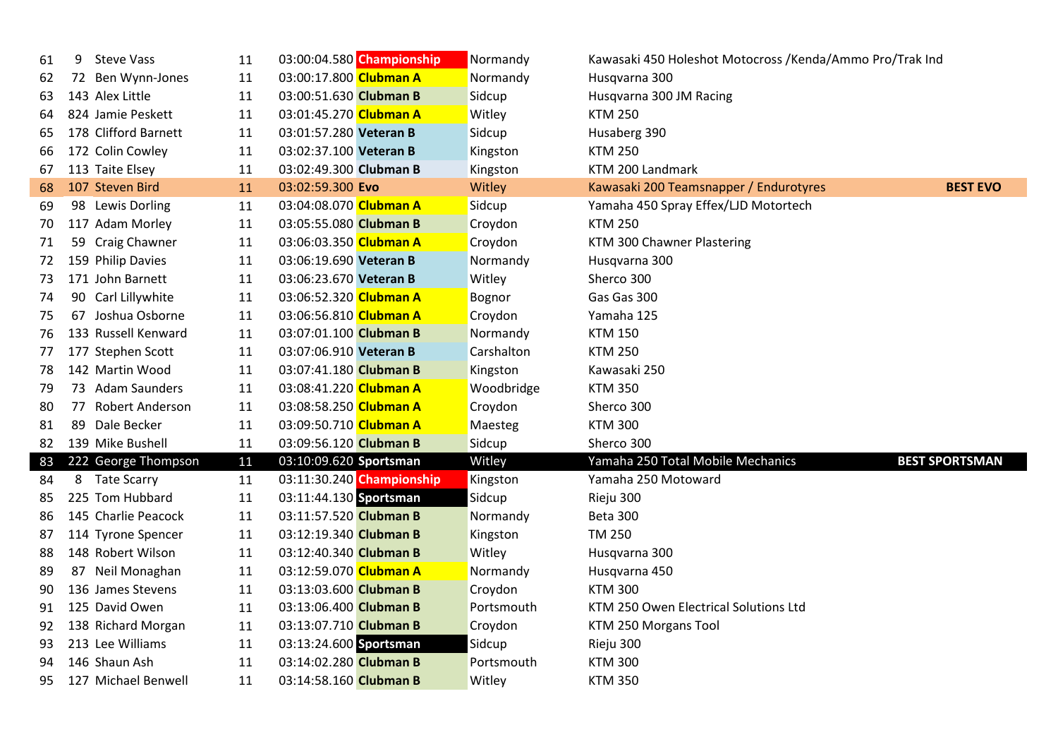| 61 | <b>Steve Vass</b><br>9       | 11 | 03:00:04.580 Championship | Normandy   | Kawasaki 450 Holeshot Motocross /Kenda/Ammo Pro/Trak Ind |                       |
|----|------------------------------|----|---------------------------|------------|----------------------------------------------------------|-----------------------|
| 62 | 72 Ben Wynn-Jones            | 11 | 03:00:17.800 Clubman A    | Normandy   | Husqvarna 300                                            |                       |
| 63 | 143 Alex Little              | 11 | 03:00:51.630 Clubman B    | Sidcup     | Husqvarna 300 JM Racing                                  |                       |
| 64 | 824 Jamie Peskett            | 11 | 03:01:45.270 Clubman A    | Witley     | <b>KTM 250</b>                                           |                       |
| 65 | 178 Clifford Barnett         | 11 | 03:01:57.280 Veteran B    | Sidcup     | Husaberg 390                                             |                       |
| 66 | 172 Colin Cowley             | 11 | 03:02:37.100 Veteran B    | Kingston   | <b>KTM 250</b>                                           |                       |
| 67 | 113 Taite Elsey              | 11 | 03:02:49.300 Clubman B    | Kingston   | KTM 200 Landmark                                         |                       |
| 68 | 107 Steven Bird              | 11 | 03:02:59.300 Evo          | Witley     | Kawasaki 200 Teamsnapper / Endurotyres                   | <b>BEST EVO</b>       |
| 69 | 98 Lewis Dorling             | 11 | 03:04:08.070 Clubman A    | Sidcup     | Yamaha 450 Spray Effex/LJD Motortech                     |                       |
| 70 | 117 Adam Morley              | 11 | 03:05:55.080 Clubman B    | Croydon    | <b>KTM 250</b>                                           |                       |
| 71 | 59 Craig Chawner             | 11 | 03:06:03.350 Clubman A    | Croydon    | KTM 300 Chawner Plastering                               |                       |
| 72 | 159 Philip Davies            | 11 | 03:06:19.690 Veteran B    | Normandy   | Husqvarna 300                                            |                       |
| 73 | 171 John Barnett             | 11 | 03:06:23.670 Veteran B    | Witley     | Sherco 300                                               |                       |
| 74 | 90 Carl Lillywhite           | 11 | 03:06:52.320 Clubman A    | Bognor     | Gas Gas 300                                              |                       |
| 75 | 67 Joshua Osborne            | 11 | 03:06:56.810 Clubman A    | Croydon    | Yamaha 125                                               |                       |
| 76 | 133 Russell Kenward          | 11 | 03:07:01.100 Clubman B    | Normandy   | <b>KTM 150</b>                                           |                       |
| 77 | 177 Stephen Scott            | 11 | 03:07:06.910 Veteran B    | Carshalton | <b>KTM 250</b>                                           |                       |
| 78 | 142 Martin Wood              | 11 | 03:07:41.180 Clubman B    | Kingston   | Kawasaki 250                                             |                       |
| 79 | 73 Adam Saunders             | 11 | 03:08:41.220 Clubman A    | Woodbridge | <b>KTM 350</b>                                           |                       |
| 80 | <b>Robert Anderson</b><br>77 | 11 | 03:08:58.250 Clubman A    | Croydon    | Sherco 300                                               |                       |
| 81 | 89<br>Dale Becker            | 11 | 03:09:50.710 Clubman A    | Maesteg    | <b>KTM 300</b>                                           |                       |
| 82 | 139 Mike Bushell             | 11 | 03:09:56.120 Clubman B    | Sidcup     | Sherco 300                                               |                       |
| 83 | 222 George Thompson          | 11 | 03:10:09.620 Sportsman    | Witley     | Yamaha 250 Total Mobile Mechanics                        | <b>BEST SPORTSMAN</b> |
| 84 | 8 Tate Scarry                | 11 | 03:11:30.240 Championship | Kingston   | Yamaha 250 Motoward                                      |                       |
| 85 | 225 Tom Hubbard              | 11 | 03:11:44.130 Sportsman    | Sidcup     | Rieju 300                                                |                       |
| 86 | 145 Charlie Peacock          | 11 | 03:11:57.520 Clubman B    | Normandy   | Beta 300                                                 |                       |
| 87 | 114 Tyrone Spencer           | 11 | 03:12:19.340 Clubman B    | Kingston   | <b>TM 250</b>                                            |                       |
| 88 | 148 Robert Wilson            | 11 | 03:12:40.340 Clubman B    | Witley     | Husqvarna 300                                            |                       |
| 89 | 87 Neil Monaghan             | 11 | 03:12:59.070 Clubman A    | Normandy   | Husqvarna 450                                            |                       |
| 90 | 136 James Stevens            | 11 | 03:13:03.600 Clubman B    | Croydon    | <b>KTM 300</b>                                           |                       |
| 91 | 125 David Owen               | 11 | 03:13:06.400 Clubman B    | Portsmouth | KTM 250 Owen Electrical Solutions Ltd                    |                       |
| 92 | 138 Richard Morgan           | 11 | 03:13:07.710 Clubman B    | Croydon    | KTM 250 Morgans Tool                                     |                       |
| 93 | 213 Lee Williams             | 11 | 03:13:24.600 Sportsman    | Sidcup     | Rieju 300                                                |                       |
| 94 | 146 Shaun Ash                | 11 | 03:14:02.280 Clubman B    | Portsmouth | <b>KTM 300</b>                                           |                       |
| 95 | 127 Michael Benwell          | 11 | 03:14:58.160 Clubman B    | Witley     | <b>KTM 350</b>                                           |                       |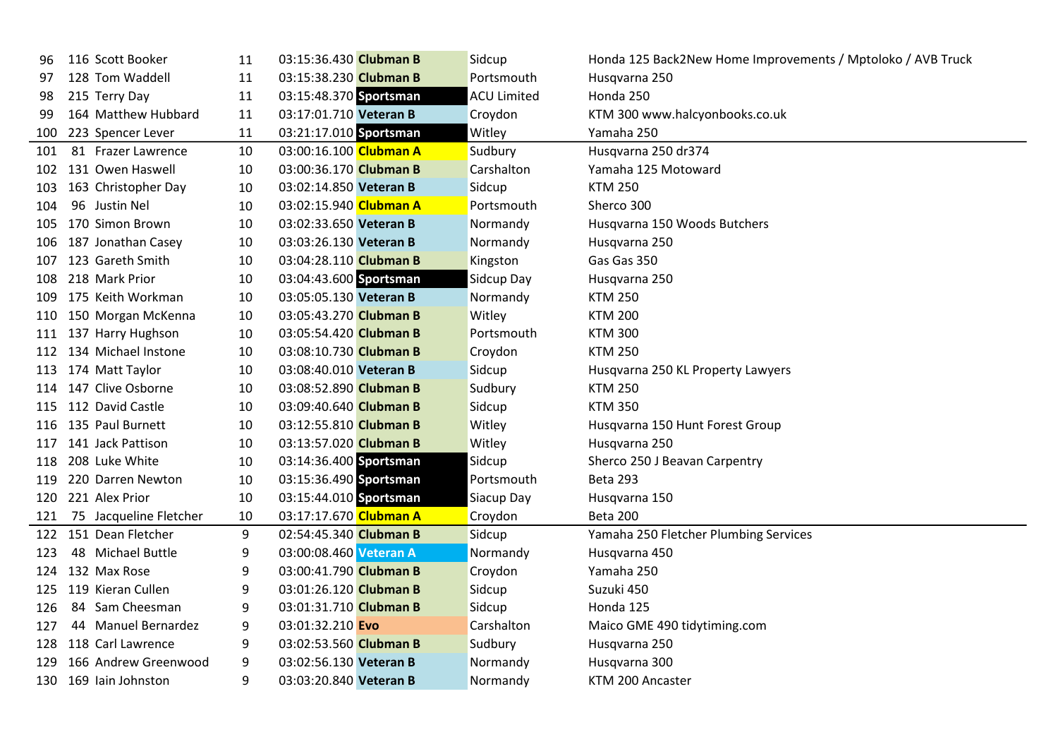| 96  | 116 Scott Booker       | 11 | 03:15:36.430 Clubman B | Sidcup             | Honda 125 Back2New Home Improvements / Mptoloko / AVB Truck |
|-----|------------------------|----|------------------------|--------------------|-------------------------------------------------------------|
| 97  | 128 Tom Waddell        | 11 | 03:15:38.230 Clubman B | Portsmouth         | Husqvarna 250                                               |
| 98  | 215 Terry Day          | 11 | 03:15:48.370 Sportsman | <b>ACU Limited</b> | Honda 250                                                   |
| 99  | 164 Matthew Hubbard    | 11 | 03:17:01.710 Veteran B | Croydon            | KTM 300 www.halcyonbooks.co.uk                              |
| 100 | 223 Spencer Lever      | 11 | 03:21:17.010 Sportsman | Witley             | Yamaha 250                                                  |
| 101 | 81 Frazer Lawrence     | 10 | 03:00:16.100 Clubman A | Sudbury            | Husqvarna 250 dr374                                         |
| 102 | 131 Owen Haswell       | 10 | 03:00:36.170 Clubman B | Carshalton         | Yamaha 125 Motoward                                         |
| 103 | 163 Christopher Day    | 10 | 03:02:14.850 Veteran B | Sidcup             | <b>KTM 250</b>                                              |
| 104 | 96 Justin Nel          | 10 | 03:02:15.940 Clubman A | Portsmouth         | Sherco 300                                                  |
| 105 | 170 Simon Brown        | 10 | 03:02:33.650 Veteran B | Normandy           | Husqvarna 150 Woods Butchers                                |
| 106 | 187 Jonathan Casey     | 10 | 03:03:26.130 Veteran B | Normandy           | Husqvarna 250                                               |
| 107 | 123 Gareth Smith       | 10 | 03:04:28.110 Clubman B | Kingston           | Gas Gas 350                                                 |
| 108 | 218 Mark Prior         | 10 | 03:04:43.600 Sportsman | Sidcup Day         | Husqvarna 250                                               |
| 109 | 175 Keith Workman      | 10 | 03:05:05.130 Veteran B | Normandy           | <b>KTM 250</b>                                              |
|     | 110 150 Morgan McKenna | 10 | 03:05:43.270 Clubman B | Witley             | <b>KTM 200</b>                                              |
|     | 111 137 Harry Hughson  | 10 | 03:05:54.420 Clubman B | Portsmouth         | <b>KTM 300</b>                                              |
| 112 | 134 Michael Instone    | 10 | 03:08:10.730 Clubman B | Croydon            | <b>KTM 250</b>                                              |
|     | 113 174 Matt Taylor    | 10 | 03:08:40.010 Veteran B | Sidcup             | Husqvarna 250 KL Property Lawyers                           |
| 114 | 147 Clive Osborne      | 10 | 03:08:52.890 Clubman B | Sudbury            | <b>KTM 250</b>                                              |
| 115 | 112 David Castle       | 10 | 03:09:40.640 Clubman B | Sidcup             | <b>KTM 350</b>                                              |
| 116 | 135 Paul Burnett       | 10 | 03:12:55.810 Clubman B | Witley             | Husqvarna 150 Hunt Forest Group                             |
| 117 | 141 Jack Pattison      | 10 | 03:13:57.020 Clubman B | Witley             | Husqvarna 250                                               |
| 118 | 208 Luke White         | 10 | 03:14:36.400 Sportsman | Sidcup             | Sherco 250 J Beavan Carpentry                               |
| 119 | 220 Darren Newton      | 10 | 03:15:36.490 Sportsman | Portsmouth         | <b>Beta 293</b>                                             |
|     | 120 221 Alex Prior     | 10 | 03:15:44.010 Sportsman | Siacup Day         | Husqvarna 150                                               |
| 121 | 75 Jacqueline Fletcher | 10 | 03:17:17.670 Clubman A | Croydon            | Beta 200                                                    |
| 122 | 151 Dean Fletcher      | 9  | 02:54:45.340 Clubman B | Sidcup             | Yamaha 250 Fletcher Plumbing Services                       |
| 123 | 48 Michael Buttle      | 9  | 03:00:08.460 Veteran A | Normandy           | Husqvarna 450                                               |
| 124 | 132 Max Rose           | 9  | 03:00:41.790 Clubman B | Croydon            | Yamaha 250                                                  |
| 125 | 119 Kieran Cullen      | 9  | 03:01:26.120 Clubman B | Sidcup             | Suzuki 450                                                  |
| 126 | 84 Sam Cheesman        | 9  | 03:01:31.710 Clubman B | Sidcup             | Honda 125                                                   |
| 127 | 44 Manuel Bernardez    | 9  | 03:01:32.210 Evo       | Carshalton         | Maico GME 490 tidytiming.com                                |
| 128 | 118 Carl Lawrence      | 9  | 03:02:53.560 Clubman B | Sudbury            | Husqvarna 250                                               |
| 129 | 166 Andrew Greenwood   | 9  | 03:02:56.130 Veteran B | Normandy           | Husqvarna 300                                               |
| 130 | 169 Iain Johnston      | 9  | 03:03:20.840 Veteran B | Normandy           | KTM 200 Ancaster                                            |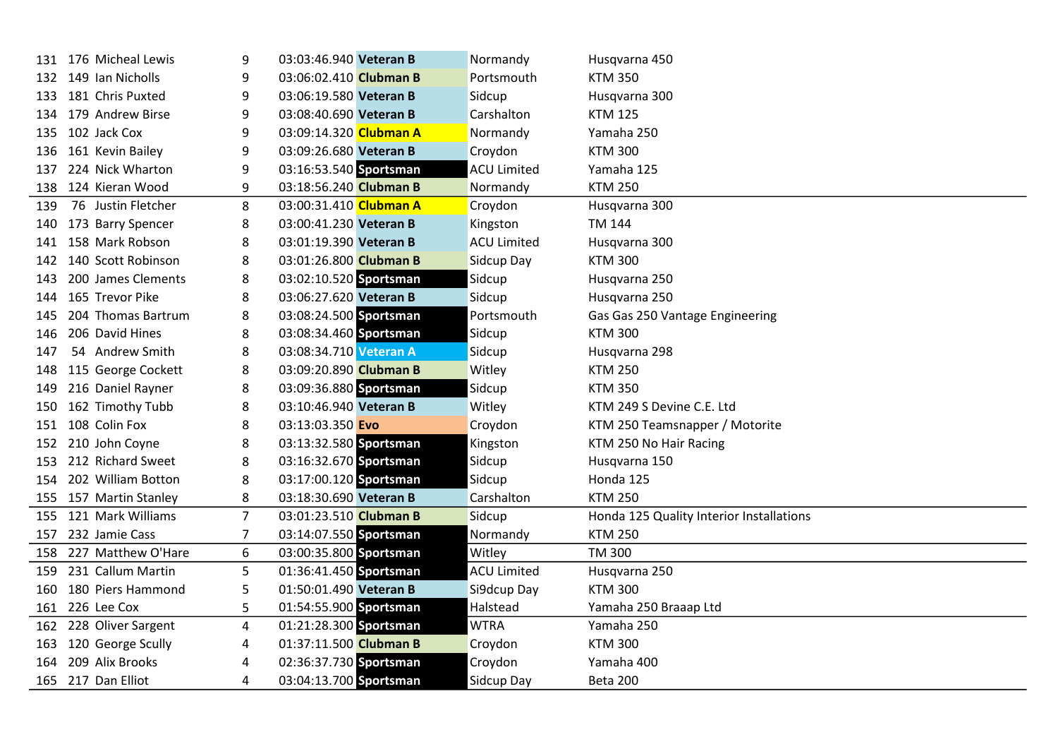| 131  | 176 Micheal Lewis      | 9              | 03:03:46.940 Veteran B | Normandy           | Husqvarna 450                            |
|------|------------------------|----------------|------------------------|--------------------|------------------------------------------|
| 132  | 149 Ian Nicholls       | 9              | 03:06:02.410 Clubman B | Portsmouth         | <b>KTM 350</b>                           |
| 133. | 181 Chris Puxted       | 9              | 03:06:19.580 Veteran B | Sidcup             | Husqvarna 300                            |
| 134  | 179 Andrew Birse       | 9              | 03:08:40.690 Veteran B | Carshalton         | <b>KTM 125</b>                           |
| 135  | 102 Jack Cox           | 9              | 03:09:14.320 Clubman A | Normandy           | Yamaha 250                               |
| 136  | 161 Kevin Bailey       | 9              | 03:09:26.680 Veteran B | Croydon            | <b>KTM 300</b>                           |
| 137  | 224 Nick Wharton       | 9              | 03:16:53.540 Sportsman | <b>ACU Limited</b> | Yamaha 125                               |
| 138  | 124 Kieran Wood        | 9              | 03:18:56.240 Clubman B | Normandy           | <b>KTM 250</b>                           |
| 139  | 76 Justin Fletcher     | 8              | 03:00:31.410 Clubman A | Croydon            | Husqvarna 300                            |
| 140  | 173 Barry Spencer      | 8              | 03:00:41.230 Veteran B | Kingston           | TM 144                                   |
| 141  | 158 Mark Robson        | 8              | 03:01:19.390 Veteran B | <b>ACU Limited</b> | Husqvarna 300                            |
| 142  | 140 Scott Robinson     | 8              | 03:01:26.800 Clubman B | Sidcup Day         | <b>KTM 300</b>                           |
| 143  | 200 James Clements     | 8              | 03:02:10.520 Sportsman | Sidcup             | Husqvarna 250                            |
| 144  | 165 Trevor Pike        | 8              | 03:06:27.620 Veteran B | Sidcup             | Husqvarna 250                            |
| 145  | 204 Thomas Bartrum     | 8              | 03:08:24.500 Sportsman | Portsmouth         | Gas Gas 250 Vantage Engineering          |
| 146  | 206 David Hines        | 8              | 03:08:34.460 Sportsman | Sidcup             | <b>KTM 300</b>                           |
| 147  | 54 Andrew Smith        | 8              | 03:08:34.710 Veteran A | Sidcup             | Husqvarna 298                            |
| 148  | 115 George Cockett     | 8              | 03:09:20.890 Clubman B | Witley             | <b>KTM 250</b>                           |
| 149  | 216 Daniel Rayner      | 8              | 03:09:36.880 Sportsman | Sidcup             | <b>KTM 350</b>                           |
| 150  | 162 Timothy Tubb       | 8              | 03:10:46.940 Veteran B | Witley             | KTM 249 S Devine C.E. Ltd                |
| 151  | 108 Colin Fox          | 8              | 03:13:03.350 Evo       | Croydon            | KTM 250 Teamsnapper / Motorite           |
| 152  | 210 John Coyne         | 8              | 03:13:32.580 Sportsman | Kingston           | KTM 250 No Hair Racing                   |
| 153  | 212 Richard Sweet      | 8              | 03:16:32.670 Sportsman | Sidcup             | Husqvarna 150                            |
| 154  | 202 William Botton     | 8              | 03:17:00.120 Sportsman | Sidcup             | Honda 125                                |
| 155  | 157 Martin Stanley     | 8              | 03:18:30.690 Veteran B | Carshalton         | <b>KTM 250</b>                           |
| 155  | 121 Mark Williams      | $\overline{7}$ | 03:01:23.510 Clubman B | Sidcup             | Honda 125 Quality Interior Installations |
| 157  | 232 Jamie Cass         | $\overline{7}$ | 03:14:07.550 Sportsman | Normandy           | <b>KTM 250</b>                           |
| 158  | 227 Matthew O'Hare     | 6              | 03:00:35.800 Sportsman | Witley             | <b>TM 300</b>                            |
| 159  | 231 Callum Martin      | 5              | 01:36:41.450 Sportsman | <b>ACU Limited</b> | Husqvarna 250                            |
| 160  | 180 Piers Hammond      | 5              | 01:50:01.490 Veteran B | Si9dcup Day        | <b>KTM 300</b>                           |
|      | 161 226 Lee Cox        | 5              | 01:54:55.900 Sportsman | Halstead           | Yamaha 250 Braaap Ltd                    |
|      | 162 228 Oliver Sargent | 4              | 01:21:28.300 Sportsman | <b>WTRA</b>        | Yamaha 250                               |
| 163  | 120 George Scully      | 4              | 01:37:11.500 Clubman B | Croydon            | <b>KTM 300</b>                           |
| 164  | 209 Alix Brooks        | 4              | 02:36:37.730 Sportsman | Croydon            | Yamaha 400                               |
|      | 165 217 Dan Elliot     | 4              | 03:04:13.700 Sportsman | Sidcup Day         | Beta 200                                 |